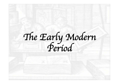The Early Modern<br>Period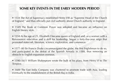# **SOME KEY EVENTS IN THE EARLY MODERN PERIOD**

• 1534 The Act of Supremacy established Henry VIII as "Supreme Head of the Church of England," and thus officially put civil authority above Church authority in England.

• 1549 The Book of Common Prayer was adopted and became an influence on English literary style.

• 1558 At the age of 25, Elizabeth I became queen of England and, as a woman with a Renaissance education and a skill for leadership, began a forty-five-year reign that promoted statecraft, literature, science, exploration, and commerce.

• 1577–80 Sir Francis Drake circumnavigated the globe, the first Englishman to do so, and participated in the defeat of the Spanish Armada in 1588, thus removing an obstacle to English expansion overseas.

• 1590–1611 William Shakespeare wrote the bulk of his plays, from *Henry VI* to *The Tempest*.

• 1600 The East India Company was chartered to promote trade with Asia, leading eventually to the establishment of the British Raj in India.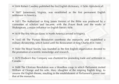• 1604 Robert Cawdrey published the first English dictionary, *A Table Alphabeticall*.

• 1607 Jamestown, Virginia, was established as the first permanent English settlement in America.

• 1611 The Authorized or King James Version of the Bible was produced by a committee of scholars and became, with the Prayer Book and the works of Shakespeare, a major influence on English literary style.

• 1619 The first African slaves in North America arrived in Virginia.

• 1642–48 The Puritan Revolution overthrew the monarchy and established a military dictatorship, which lasted until the Restoration of King Charles II in 1660.

• 1660 The Royal Society was founded as the first English organization devoted to the promotion of scientific knowledge and research.

• 1670 Hudson's Bay Company was chartered for promoting trade and settlement in Canada.

• 1688 The Glorious Revolution was a bloodless coup in which Parliament invited William of Orange and his wife, Mary (daughter of the reigning English king), to assume the English throne, resulting in the establishment of Parliament's power over that of the monarchy.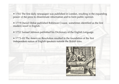• 1702 The first daily newspaper was published in London, resulting in the expanding power of the press to disseminate information and to form public opinion.

• 1719 Daniel Defoe published Robinson Crusoe, sometimes identified as the first modern novel in English.

- 1755 Samuel Johnson published his Dictionary of the English Language.
- 1775–83 The American Revolution resulted in the foundation of the first independent nation of English speakers outside the British Isles.

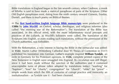Bible translations in England began in the late seventh century, when Cædmon, a monk of Whitby is said to have made a metrical paraphrase of parts of the Scripture. Other Old English paraphrases exist, dating from the ninth century onward (Genesis, Exodus, Daniel), and there is much poetry on Biblical themes.

ð The **first hand-written English language Bible manuscripts** were produced in the **1380s** by **John Wycliff**, an Oxford, scholar, theologian, and religious reformer (also called "the morning star of the Reformation"). The translation of the Bible was associated, in the official mind, with the more inflammatory social precepts and practices of the Lollards, as Wycliff's followers were called. The translation of the Scriptures into English, or even reading such translations, without the permission of the Church authorities, was forbidden.

With the Reformation, a new interest in having the Bible in the vernacular was added: in **1522**, Martin Luther [Wittenberg Cathedral door 95 Theses of Contention in 1517] published his translation into German. Luther's example inspired **William Tyndale**, an exile in Germany for his Protestant opinions. In **1526**, complete printed copies of the New Testament in English were smuggled into England. Its circulation was still illegal, since it had been made without the sanction of the authorities and it contained unacceptable turns of phrase (often adopted by translations today): "washing" for "baptism", "love" for "charity", congregation" for "church", "elder" for "priest" – simple words from which the filth of centuries of corrupt practice and insincerity an institutionalism – as Tyndale saw it – had been cleansed.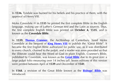In **1536**, Tyndale was burned for his beliefs and his practice of them, with the approval of Henry VIII.

Myles Coverdale  $\Rightarrow$  in **1535** he printed the first complete Bible in the English language, making use of Luther's German text and the Latin as sources. Thus, the first complete English Bible was printed on **October 4, 1535**, and is known as the **Coverdale Bible**.

In **1539**, **Thomas Cranmer**, the Archbishop of Canterbury, hired Myles Coverdale at the bequest of **King Henry VIII** to publish the "Great Bible". It became the first English Bible authorized for public use, as it was distributed to every church, chained to the pulpit, and a reader was even provided so that the illiterate could hear the Word of God in plain English. Cranmer's Bible, published by Coverdale, was known as the **Great Bible** due to its great size: a large pulpit folio measuring over 14 inches tall. Seven editions of this version were printed between April of **1539** and December of **1541**.

In **1568**, a revision of the Great Bible known as the **Bishops' Bible** was introduced.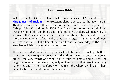#### **King James Bible**

With the death of Queen Elizabeth I, Prince James VI of Scotland became **King James I of England**. The Protestant clergy approached the new King in **1604** and announced their desire for a new translation to replace the Bishop's Bible first printed in **1568**. This "translation to end all translations" was the result of the combined effort of about fifty scholars. Ultimately it was arranged that six companies of translators should be formed, two at Westminster, two at Oxford, and two at Cambridge. In **1610** the work went to press, and in **1611** the first of the pulpit folios known today as **the 1611 King James Bible** came off the printing press.

The Authorized Version sums up in itself all the aspects on English Bible translation: its strong conservatism and traditionalism; its determination to present the very words of Scripture in a form as simple and as near the language in which they were originally written, so that their sanctity, not any hallowing and mystery conferred on them by the Church, will carry them direct to the minds and souls of the readers.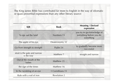The King James Bible has contributed far more to English in the way of idiomatic or quasi-proverbial expressions than any other literary source:

| KJB                                         | <b>Book</b>         | <b>Meaning / Derived</b><br>expression                              |
|---------------------------------------------|---------------------|---------------------------------------------------------------------|
| To spy out the land                         | Numbers 13          | you try to get knowledge of<br>something before you do<br>something |
| The apple of his eye                        | Deuteronomy 32      |                                                                     |
| Go from strength to strength                | Psalm 24            | to gradually become more<br>successful                              |
| strait is the gate and narrow<br>is the way | Matthew 7           | straight and narrow                                                 |
| Out of the mouth of the<br>babes            | Matthew 21          |                                                                     |
| the sign of the times                       | Matthew 16          |                                                                     |
| In the twinkling of an eye                  | 1 Corinthians 15    |                                                                     |
| Rule with a rod of iron                     | <b>Revelation 2</b> |                                                                     |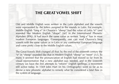# **THE GREAT VOWEL SHIFT**

Old and Middle English were written in the Latin alphabet and the vowels were represented by the letters assigned to the sounds in Latin. For example, Middle English "long e" in Chaucer's "sheep" had the value of Latin "e" (and sounded like Modern English "shape" [/e/] in the International Phonetic Alphabet [IPA]). It had much the same value as written "long e" has in most modern European languages. Consequently, one can read Chaucer's long vowels with the same values as in Latin or any continental European language and come pretty close to the Middle English values.

The Great Vowels Shift changed all that; by the end of the sixteenth century the "e" in "sheep" sounded like that in Modern English "sheep" or "meet" [/i:/]. To many it seemed that the pronunciation of English had moved so far from its visual representation that a new alphabet was needed, and in the sixteenth century we have the first attempts to "reform" English spellings, a movement still active today. In 1569 John Hart (in his *Orthography*) went so far as to devise a new phonetic alphabet to remedy what he considered a fatal flaw in the system of language.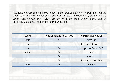The long vowels can be heard today in the pronunciation of words like *seat* (as opposed to the short vowel of *sit*) and *lose* (vs *loss*). In Middle English, there were seven such vowels. Their values are shown in the table below, along with an approximate equivalent in modern pronunciation:

| Word      | Vowel quality in c. 1400 | <b>Nearest PDE vowel</b> |
|-----------|--------------------------|--------------------------|
| time      | $/i$ :/                  | teem /i:/                |
| see       | $/e$ :/                  | first part of say /ei/   |
| sea       | $/\epsilon$ :/           | first part of Sarah /ɛə/ |
| fame      | /ai/                     | farm $/a$ :/             |
| SO        | $/c$ :/                  | $saw / o$ :/             |
| $d\sigma$ | $/O$ :/                  | first part of doe /ou/   |
| now       | $/$ u:/                  | $new$ /u:/               |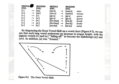| <b>MIDDLE</b><br>ENG. |   | <b>MODERN</b><br>ENG. | <b>MIDDLE</b><br>ENG.    |   | <b>MODERN</b><br>ENG.    |       |
|-----------------------|---|-----------------------|--------------------------|---|--------------------------|-------|
| [i:]                  | → | [ay]                  | [m[:s]                   | → | [mays]                   | mice  |
| [u:]                  | → | [aw]                  | [mu:s]                   | → | [maws]                   | mouse |
| [e:]                  | → | [i:]                  | [ge:s]                   | → | [ <b>g</b> ]: <b>s</b> ] | geese |
| [o:]                  | → | [u:]                  | [ <b>go</b> : <b>s</b> ] | → | [gu:s]                   | goose |
| [ɛ:]                  | → | [e:]                  | [brɛːken]                | → | [bre:k]                  | break |
| [၁:]                  | → | [0:]                  | [br5:ken]                | → | [bro:k]                  | broke |
| [a:]                  | → | [e:]                  | [na:mə]                  | → | [ne:m]                   | name  |

By diagraming the Great Vowel Shift on a vowel chart (Figure 9-2), we can see that each long vowel underwent an increase in tongue height, with the highest vowels [i:] and [u:] "falling off" to become the diphthongs [ay] and [aw]. In addition, [a] was "fronted."

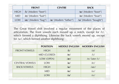|             | <b>FRONT</b>               | <b>CENTRE</b>                 | <b>BACK</b>                   |
|-------------|----------------------------|-------------------------------|-------------------------------|
| <b>HIGH</b> | <i>i:/</i> [Modern "beet"] |                               | / $u:$ [Modern "boot"]        |
| MID.        | /e:/ [Modern "bait"]       |                               | / $o:$ [Modern "boat"]        |
| LOW         | $\alpha$ :/ [Modern "bag"] | $\alpha$ :/ [Modern "father"] | / <b>o/</b> [Modern "bought"] |

The Great Vowel shift involved a regular movement of the places of articulation. The front vowels each moved up a notch, except for /i:/, which formed a diphthong. Likewise the back vowels moved up, except for /u:/, which formed another diphthong:

|                       | <b>POSITION</b> | <b>MIDDLE ENGLISH</b> | <b>MODERN ENGLISH</b> |
|-----------------------|-----------------|-----------------------|-----------------------|
| <b>FRONT VOWELS</b>   | <b>HIGH</b>     | $\mathbf{ii}$         | /ai/                  |
|                       | MID (CLOSED)    | $/e$ :/               | $/i$ :/               |
|                       | LOW (OPEN)      | $\alpha$ :/           | /e:/ later /i:/       |
| <b>CENTRAL VOWELS</b> | <b>LOW</b>      | /ai/                  | $/e$ :/               |
| <b>BACK VOWELS</b>    | <b>HIGH</b>     | $/$ u: $/$            | $/ao$ :/              |
|                       | <b>MID</b>      | $/O$ :/               | /u:/                  |
|                       | LOW             | o                     | $\overline{O}$ :/     |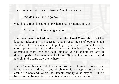The cumulative difference is striking. A sentence such as

We do make time to go now

would have roughly sounded, in Chaucerian pronunciation, as

Way doe mahk teem to gaw noo.

The phenomenon is traditionally called the '**Great Vowel Shift**', but the label is misleading in its suggestion that it was a single shift operating at a standard rate. The evidence of spelling, rhymes, and commentaries by contemporary language pundits (i.e. sources of opinion) suggests that it operated in more than one stage, affected vowels at different rates in different parts of the country, an took over 200 year to complete. Nor did it apply in the same way everywhere.

The /u:/ value became a diphthong in most parts of England, as we hear in modern *now* and *house*, but this change did not happen in the northeast, or in Scotland, where the fifteenth-century value may still still be heard, as can be seen in such Scots spellings as *noo* and *hoose*.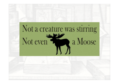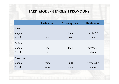# **EARLY MODERN ENGLISH PRONOUNS**

|            | <b>First-person</b> | <b>Second-person</b> | <b>Third-person</b> |
|------------|---------------------|----------------------|---------------------|
| Subject    |                     |                      |                     |
| Singular   | ı                   | thou                 | he/she/it*          |
| Plural     | we                  | ye                   | they                |
| Object     |                     |                      |                     |
| Singular   | me                  | thee                 | him/her/it          |
| Plural     | <b>US</b>           | you                  | them                |
| Possessive |                     |                      |                     |
| Singular   | mine                | thine                | his/hers/his        |
| Plural     | ours                | yours                | theirs              |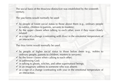The social basis of the *thou*/*you* distinction was established by the sixteenth century.

The you forms would normally be used:

- $\checkmark$  by people of lower social status to those above them (e.g., ordinary people to nobles, children to parents, servants to masters);
- $\checkmark$  by the upper classes when talking to each other, even if they were closely related;
- $\checkmark$  as a sign of a change (contrasting with *thou*) in the emotional temperature of an interaction.

The *thou* forms would normally be used:

- $\checkmark$  by people of higher social status to those below them (e.g., nobles to ordinary people, parents to children, masters to servants);
- $\checkmark$  by the Iower classes when calking to each other;
- $\checkmark$  in addressing God;
- $\checkmark$  in talking to ghosts, witches, and other supernatural beings;
- $\checkmark$  in an imaginary address to someone who was absent;
- $\checkmark$  as a sign of a change (contrasting with you) in the emotional temperature of an interaction.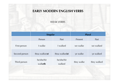# **EARLY MODERN ENGLISH VERBS**

WEAK VERBS

|               | <b>Singular</b>        |                      | <b>Plural</b> |             |  |
|---------------|------------------------|----------------------|---------------|-------------|--|
|               | Person                 | Past                 | Present       | Past        |  |
| First-person  | I walke                | <b>L</b> walked      | we walke      | we walked   |  |
| Second-person | thou walk(e) <b>st</b> | thou walkedst        | ye walke      | ye walked   |  |
| Third-person  | he/she/hit<br>walketh  | he/she/hit<br>walked | they walke    | they walked |  |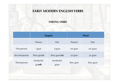## **EARLY MODERN ENGLISH VERBS**

#### **STRONG VERBS**

|               | <b>Singular</b>        |                    | <b>Plural</b> |           |
|---------------|------------------------|--------------------|---------------|-----------|
|               | Person                 | Past               | Present       | Past      |
| First-person  | I giue                 | I gaue             | we giue       | we gaue   |
| Second-person | thou $\text{giu}(s)$ t | thou $gau(e)st$    | ye giue       | ye gaue   |
| Third-person  | he/she/hit<br>giueth   | he/she/hit<br>gaue | they giue     | they gaue |